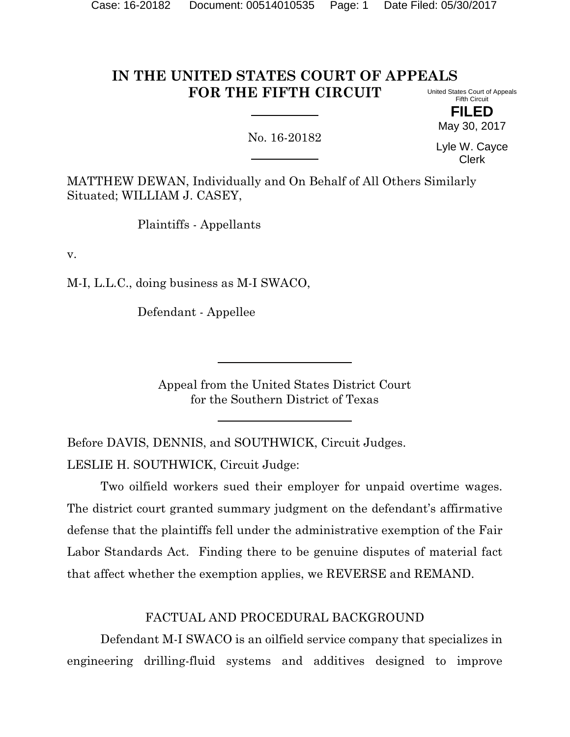#### **IN THE UNITED STATES COURT OF APPEALS FOR THE FIFTH CIRCUIT** United States Court of Appeals Fifth Circuit

No. 16-20182

May 30, 2017 Lyle W. Cayce

Clerk

**FILED**

MATTHEW DEWAN, Individually and On Behalf of All Others Similarly Situated; WILLIAM J. CASEY,

Plaintiffs - Appellants

v.

M-I, L.L.C., doing business as M-I SWACO,

Defendant - Appellee

Appeal from the United States District Court for the Southern District of Texas

Before DAVIS, DENNIS, and SOUTHWICK, Circuit Judges. LESLIE H. SOUTHWICK, Circuit Judge:

Two oilfield workers sued their employer for unpaid overtime wages. The district court granted summary judgment on the defendant's affirmative defense that the plaintiffs fell under the administrative exemption of the Fair Labor Standards Act. Finding there to be genuine disputes of material fact that affect whether the exemption applies, we REVERSE and REMAND.

# FACTUAL AND PROCEDURAL BACKGROUND

Defendant M-I SWACO is an oilfield service company that specializes in engineering drilling-fluid systems and additives designed to improve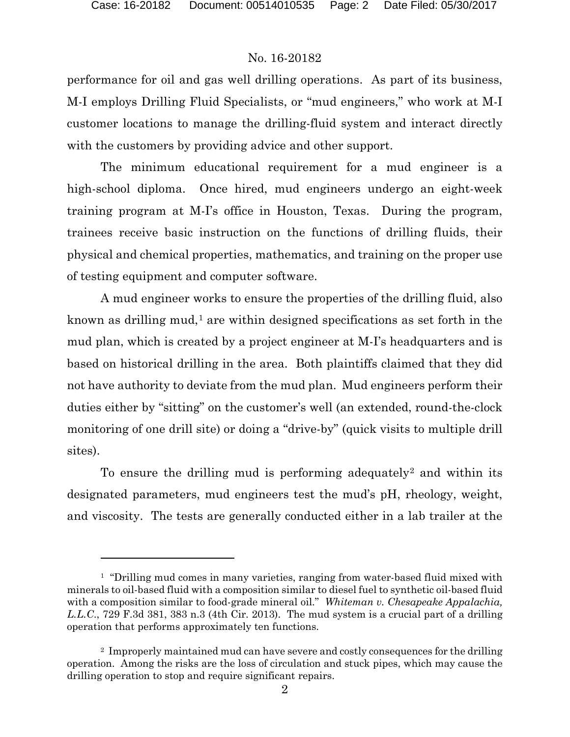l

#### No. 16-20182

performance for oil and gas well drilling operations. As part of its business, M-I employs Drilling Fluid Specialists, or "mud engineers," who work at M-I customer locations to manage the drilling-fluid system and interact directly with the customers by providing advice and other support.

The minimum educational requirement for a mud engineer is a high-school diploma. Once hired, mud engineers undergo an eight-week training program at M-I's office in Houston, Texas. During the program, trainees receive basic instruction on the functions of drilling fluids, their physical and chemical properties, mathematics, and training on the proper use of testing equipment and computer software.

A mud engineer works to ensure the properties of the drilling fluid, also known as drilling mud,<sup>[1](#page-1-0)</sup> are within designed specifications as set forth in the mud plan, which is created by a project engineer at M-I's headquarters and is based on historical drilling in the area. Both plaintiffs claimed that they did not have authority to deviate from the mud plan. Mud engineers perform their duties either by "sitting" on the customer's well (an extended, round-the-clock monitoring of one drill site) or doing a "drive-by" (quick visits to multiple drill sites).

To ensure the drilling mud is performing adequately<sup>[2](#page-1-1)</sup> and within its designated parameters, mud engineers test the mud's pH, rheology, weight, and viscosity. The tests are generally conducted either in a lab trailer at the

<span id="page-1-0"></span><sup>&</sup>lt;sup>1</sup> "Drilling mud comes in many varieties, ranging from water-based fluid mixed with minerals to oil-based fluid with a composition similar to diesel fuel to synthetic oil-based fluid with a composition similar to food-grade mineral oil." *Whiteman v. Chesapeake Appalachia, L.L.C*., 729 F.3d 381, 383 n.3 (4th Cir. 2013). The mud system is a crucial part of a drilling operation that performs approximately ten functions.

<span id="page-1-1"></span><sup>2</sup> Improperly maintained mud can have severe and costly consequences for the drilling operation. Among the risks are the loss of circulation and stuck pipes, which may cause the drilling operation to stop and require significant repairs.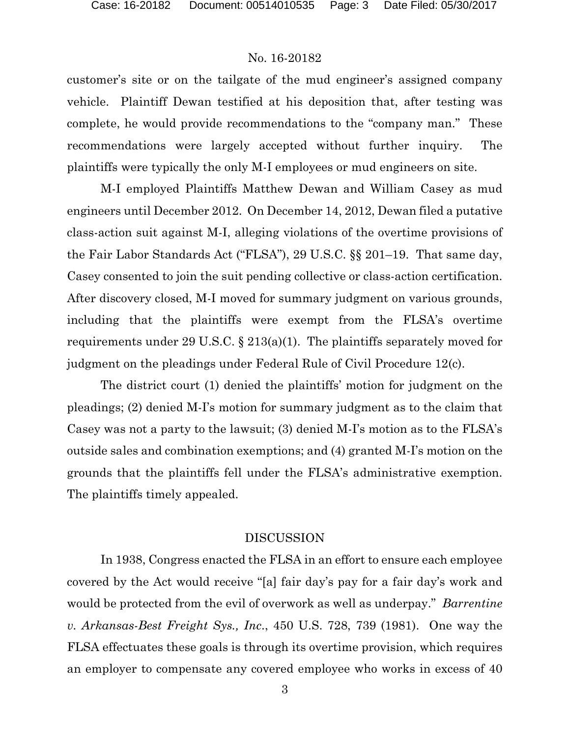customer's site or on the tailgate of the mud engineer's assigned company vehicle. Plaintiff Dewan testified at his deposition that, after testing was complete, he would provide recommendations to the "company man." These recommendations were largely accepted without further inquiry. The plaintiffs were typically the only M-I employees or mud engineers on site.

M-I employed Plaintiffs Matthew Dewan and William Casey as mud engineers until December 2012. On December 14, 2012, Dewan filed a putative class-action suit against M-I, alleging violations of the overtime provisions of the Fair Labor Standards Act ("FLSA"), 29 U.S.C. §§ 201–19. That same day, Casey consented to join the suit pending collective or class-action certification. After discovery closed, M-I moved for summary judgment on various grounds, including that the plaintiffs were exempt from the FLSA's overtime requirements under 29 U.S.C. § 213(a)(1). The plaintiffs separately moved for judgment on the pleadings under Federal Rule of Civil Procedure 12(c).

The district court (1) denied the plaintiffs' motion for judgment on the pleadings; (2) denied M-I's motion for summary judgment as to the claim that Casey was not a party to the lawsuit; (3) denied M-I's motion as to the FLSA's outside sales and combination exemptions; and (4) granted M-I's motion on the grounds that the plaintiffs fell under the FLSA's administrative exemption. The plaintiffs timely appealed.

#### DISCUSSION

In 1938, Congress enacted the FLSA in an effort to ensure each employee covered by the Act would receive "[a] fair day's pay for a fair day's work and would be protected from the evil of overwork as well as underpay." *Barrentine v. Arkansas-Best Freight Sys., Inc*., 450 U.S. 728, 739 (1981). One way the FLSA effectuates these goals is through its overtime provision, which requires an employer to compensate any covered employee who works in excess of 40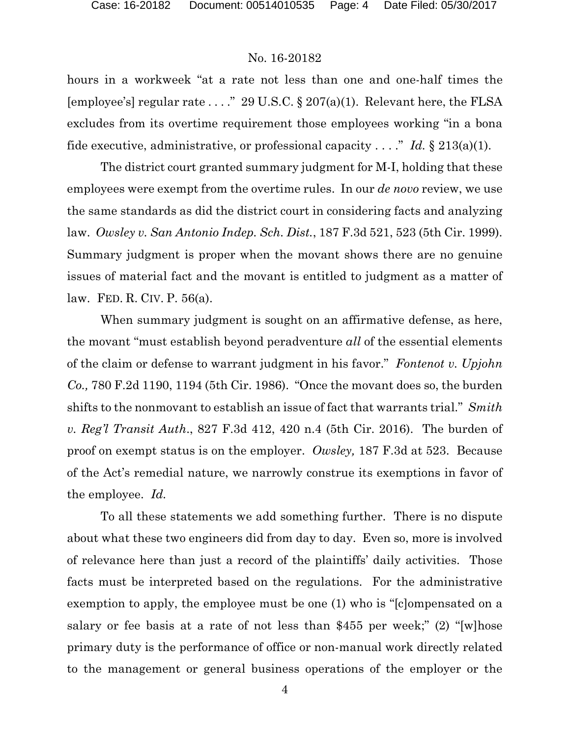hours in a workweek "at a rate not less than one and one-half times the [employee's] regular rate ...." 29 U.S.C. § 207(a)(1). Relevant here, the FLSA excludes from its overtime requirement those employees working "in a bona fide executive, administrative, or professional capacity  $\dots$ ." *Id.* § 213(a)(1).

The district court granted summary judgment for M-I, holding that these employees were exempt from the overtime rules. In our *de novo* review, we use the same standards as did the district court in considering facts and analyzing law. *Owsley v. San Antonio Indep. Sch. Dist.*, 187 F.3d 521, 523 (5th Cir. 1999). Summary judgment is proper when the movant shows there are no genuine issues of material fact and the movant is entitled to judgment as a matter of law. FED. R. CIV. P. 56(a).

When summary judgment is sought on an affirmative defense, as here, the movant "must establish beyond peradventure *all* of the essential elements of the claim or defense to warrant judgment in his favor." *Fontenot v. Upjohn Co.,* 780 F.2d 1190, 1194 (5th Cir. 1986). "Once the movant does so, the burden shifts to the nonmovant to establish an issue of fact that warrants trial." *Smith v. Reg'l Transit Auth*., 827 F.3d 412, 420 n.4 (5th Cir. 2016). The burden of proof on exempt status is on the employer. *Owsley,* 187 F.3d at 523. Because of the Act's remedial nature, we narrowly construe its exemptions in favor of the employee. *Id.*

To all these statements we add something further. There is no dispute about what these two engineers did from day to day. Even so, more is involved of relevance here than just a record of the plaintiffs' daily activities. Those facts must be interpreted based on the regulations. For the administrative exemption to apply, the employee must be one (1) who is "[c]ompensated on a salary or fee basis at a rate of not less than \$455 per week;" (2) "[w]hose primary duty is the performance of office or non-manual work directly related to the management or general business operations of the employer or the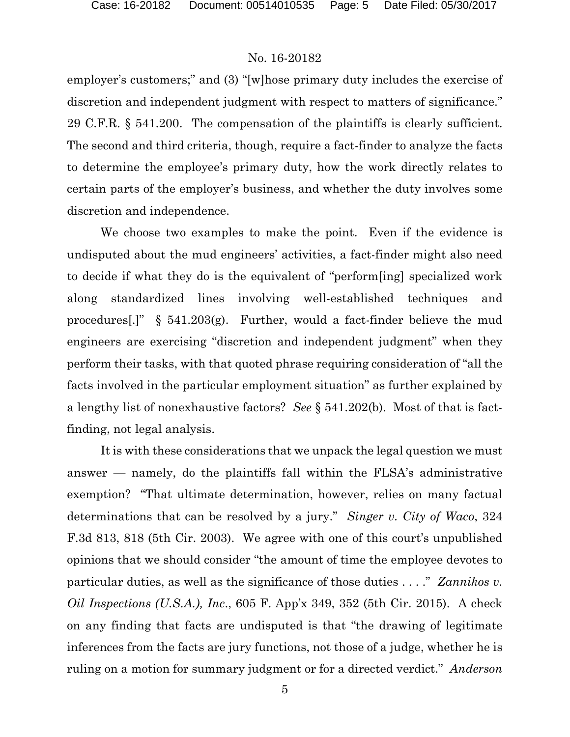employer's customers;" and (3) "[w]hose primary duty includes the exercise of discretion and independent judgment with respect to matters of significance." 29 C.F.R. § 541.200. The compensation of the plaintiffs is clearly sufficient. The second and third criteria, though, require a fact-finder to analyze the facts to determine the employee's primary duty, how the work directly relates to certain parts of the employer's business, and whether the duty involves some discretion and independence.

We choose two examples to make the point. Even if the evidence is undisputed about the mud engineers' activities, a fact-finder might also need to decide if what they do is the equivalent of "perform[ing] specialized work along standardized lines involving well-established techniques and procedures[.]" § 541.203(g). Further, would a fact-finder believe the mud engineers are exercising "discretion and independent judgment" when they perform their tasks, with that quoted phrase requiring consideration of "all the facts involved in the particular employment situation" as further explained by a lengthy list of nonexhaustive factors? *See* § 541.202(b). Most of that is factfinding, not legal analysis.

It is with these considerations that we unpack the legal question we must answer — namely, do the plaintiffs fall within the FLSA's administrative exemption? "That ultimate determination, however, relies on many factual determinations that can be resolved by a jury." *Singer v. City of Waco*, 324 F.3d 813, 818 (5th Cir. 2003). We agree with one of this court's unpublished opinions that we should consider "the amount of time the employee devotes to particular duties, as well as the significance of those duties . . . ." *Zannikos v. Oil Inspections (U.S.A.), Inc*., 605 F. App'x 349, 352 (5th Cir. 2015). A check on any finding that facts are undisputed is that "the drawing of legitimate inferences from the facts are jury functions, not those of a judge, whether he is ruling on a motion for summary judgment or for a directed verdict." *Anderson*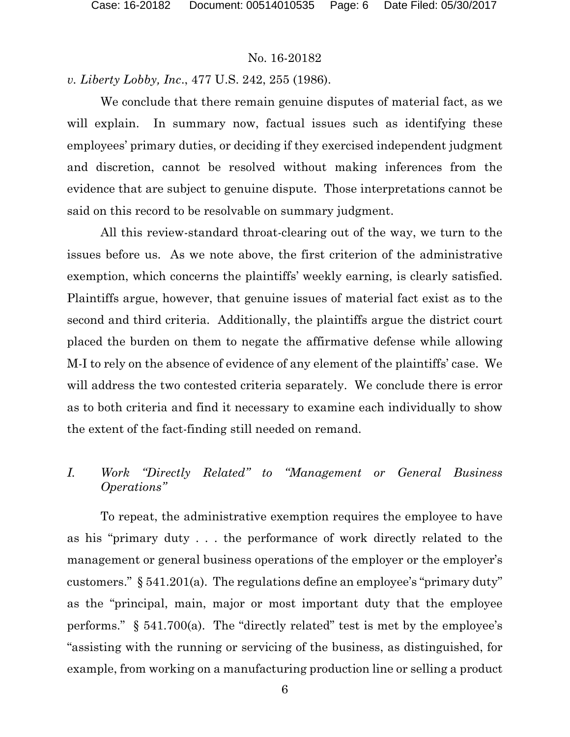*v. Liberty Lobby, Inc*., 477 U.S. 242, 255 (1986).

We conclude that there remain genuine disputes of material fact, as we will explain. In summary now, factual issues such as identifying these employees' primary duties, or deciding if they exercised independent judgment and discretion, cannot be resolved without making inferences from the evidence that are subject to genuine dispute. Those interpretations cannot be said on this record to be resolvable on summary judgment.

All this review-standard throat-clearing out of the way, we turn to the issues before us. As we note above, the first criterion of the administrative exemption, which concerns the plaintiffs' weekly earning, is clearly satisfied. Plaintiffs argue, however, that genuine issues of material fact exist as to the second and third criteria. Additionally, the plaintiffs argue the district court placed the burden on them to negate the affirmative defense while allowing M-I to rely on the absence of evidence of any element of the plaintiffs' case. We will address the two contested criteria separately. We conclude there is error as to both criteria and find it necessary to examine each individually to show the extent of the fact-finding still needed on remand.

# *I. Work "Directly Related" to "Management or General Business Operations"*

To repeat, the administrative exemption requires the employee to have as his "primary duty . . . the performance of work directly related to the management or general business operations of the employer or the employer's customers." § 541.201(a). The regulations define an employee's "primary duty" as the "principal, main, major or most important duty that the employee performs." § 541.700(a). The "directly related" test is met by the employee's "assisting with the running or servicing of the business, as distinguished, for example, from working on a manufacturing production line or selling a product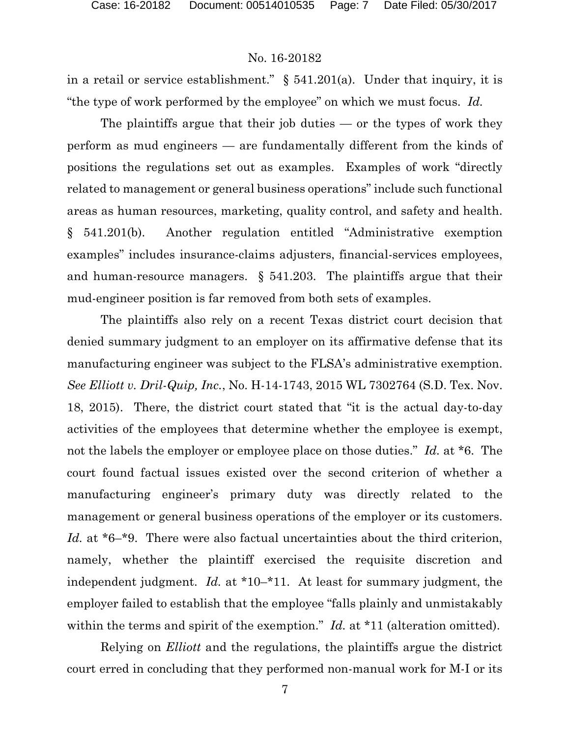in a retail or service establishment." § 541.201(a). Under that inquiry, it is "the type of work performed by the employee" on which we must focus. *Id.*

The plaintiffs argue that their job duties  $-$  or the types of work they perform as mud engineers — are fundamentally different from the kinds of positions the regulations set out as examples. Examples of work "directly related to management or general business operations" include such functional areas as human resources, marketing, quality control, and safety and health. § 541.201(b). Another regulation entitled "Administrative exemption examples" includes insurance-claims adjusters, financial-services employees, and human-resource managers.  $\S$  541.203. The plaintiffs argue that their mud-engineer position is far removed from both sets of examples.

The plaintiffs also rely on a recent Texas district court decision that denied summary judgment to an employer on its affirmative defense that its manufacturing engineer was subject to the FLSA's administrative exemption. *See Elliott v. Dril-Quip, Inc.*, No. H-14-1743, 2015 WL 7302764 (S.D. Tex. Nov. 18, 2015). There, the district court stated that "it is the actual day-to-day activities of the employees that determine whether the employee is exempt, not the labels the employer or employee place on those duties." *Id.* at \*6. The court found factual issues existed over the second criterion of whether a manufacturing engineer's primary duty was directly related to the management or general business operations of the employer or its customers. *Id.* at \*6<sup>-\*</sup>9. There were also factual uncertainties about the third criterion, namely, whether the plaintiff exercised the requisite discretion and independent judgment. *Id.* at \*10–\*11. At least for summary judgment, the employer failed to establish that the employee "falls plainly and unmistakably within the terms and spirit of the exemption." *Id.* at \*11 (alteration omitted).

Relying on *Elliott* and the regulations, the plaintiffs argue the district court erred in concluding that they performed non-manual work for M-I or its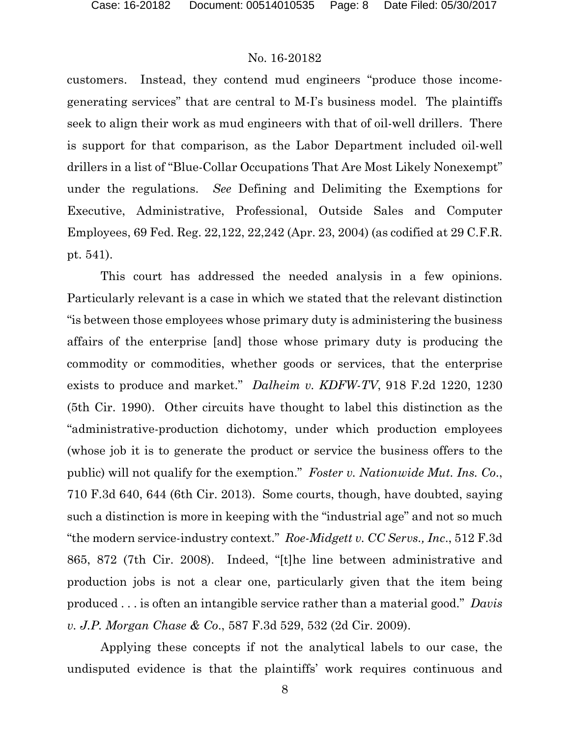customers. Instead, they contend mud engineers "produce those incomegenerating services" that are central to M-I's business model. The plaintiffs seek to align their work as mud engineers with that of oil-well drillers. There is support for that comparison, as the Labor Department included oil-well drillers in a list of "Blue-Collar Occupations That Are Most Likely Nonexempt" under the regulations. *See* Defining and Delimiting the Exemptions for Executive, Administrative, Professional, Outside Sales and Computer Employees, 69 Fed. Reg. 22,122, 22,242 (Apr. 23, 2004) (as codified at 29 C.F.R. pt. 541).

This court has addressed the needed analysis in a few opinions. Particularly relevant is a case in which we stated that the relevant distinction "is between those employees whose primary duty is administering the business affairs of the enterprise [and] those whose primary duty is producing the commodity or commodities, whether goods or services, that the enterprise exists to produce and market." *Dalheim v. KDFW-TV*, 918 F.2d 1220, 1230 (5th Cir. 1990). Other circuits have thought to label this distinction as the "administrative-production dichotomy, under which production employees (whose job it is to generate the product or service the business offers to the public) will not qualify for the exemption." *Foster v. Nationwide Mut. Ins. Co*., 710 F.3d 640, 644 (6th Cir. 2013). Some courts, though, have doubted, saying such a distinction is more in keeping with the "industrial age" and not so much "the modern service-industry context." *Roe-Midgett v. CC Servs., Inc*., 512 F.3d 865, 872 (7th Cir. 2008). Indeed, "[t]he line between administrative and production jobs is not a clear one, particularly given that the item being produced . . . is often an intangible service rather than a material good." *Davis v. J.P. Morgan Chase & Co*., 587 F.3d 529, 532 (2d Cir. 2009).

Applying these concepts if not the analytical labels to our case, the undisputed evidence is that the plaintiffs' work requires continuous and

8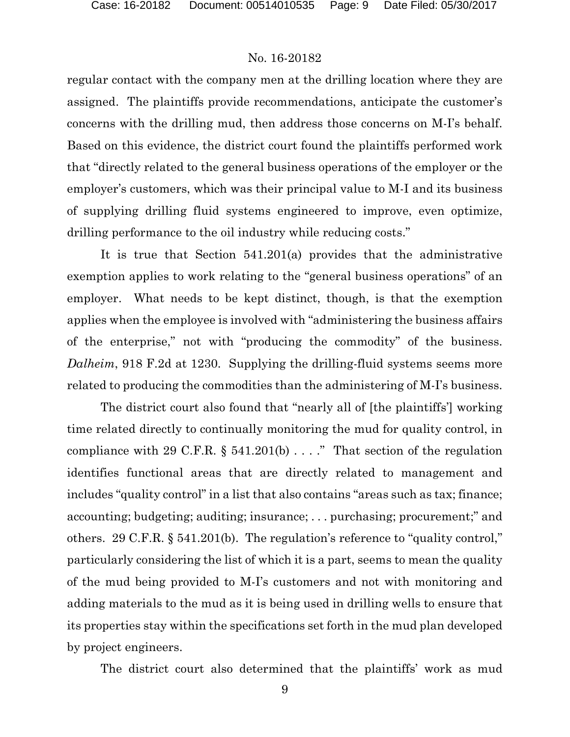regular contact with the company men at the drilling location where they are assigned. The plaintiffs provide recommendations, anticipate the customer's concerns with the drilling mud, then address those concerns on M-I's behalf. Based on this evidence, the district court found the plaintiffs performed work that "directly related to the general business operations of the employer or the employer's customers, which was their principal value to M-I and its business of supplying drilling fluid systems engineered to improve, even optimize, drilling performance to the oil industry while reducing costs."

It is true that Section 541.201(a) provides that the administrative exemption applies to work relating to the "general business operations" of an employer. What needs to be kept distinct, though, is that the exemption applies when the employee is involved with "administering the business affairs of the enterprise," not with "producing the commodity" of the business. *Dalheim*, 918 F.2d at 1230. Supplying the drilling-fluid systems seems more related to producing the commodities than the administering of M-I's business.

The district court also found that "nearly all of [the plaintiffs'] working time related directly to continually monitoring the mud for quality control, in compliance with 29 C.F.R.  $\S$  541.201(b) . . . ." That section of the regulation identifies functional areas that are directly related to management and includes "quality control" in a list that also contains "areas such as tax; finance; accounting; budgeting; auditing; insurance; . . . purchasing; procurement;" and others. 29 C.F.R. § 541.201(b). The regulation's reference to "quality control," particularly considering the list of which it is a part, seems to mean the quality of the mud being provided to M-I's customers and not with monitoring and adding materials to the mud as it is being used in drilling wells to ensure that its properties stay within the specifications set forth in the mud plan developed by project engineers.

The district court also determined that the plaintiffs' work as mud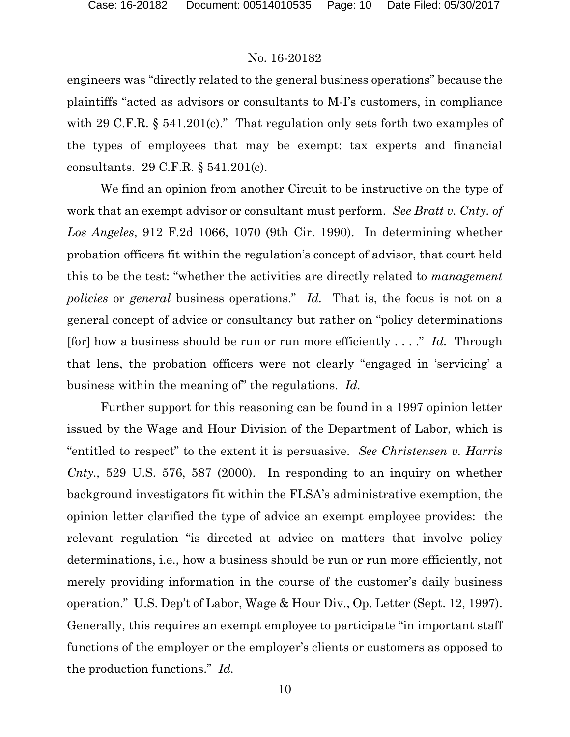engineers was "directly related to the general business operations" because the plaintiffs "acted as advisors or consultants to M-I's customers, in compliance with 29 C.F.R. § 541.201(c)." That regulation only sets forth two examples of the types of employees that may be exempt: tax experts and financial consultants. 29 C.F.R. § 541.201(c).

We find an opinion from another Circuit to be instructive on the type of work that an exempt advisor or consultant must perform. *See Bratt v. Cnty. of Los Angeles*, 912 F.2d 1066, 1070 (9th Cir. 1990). In determining whether probation officers fit within the regulation's concept of advisor, that court held this to be the test: "whether the activities are directly related to *management policies* or *general* business operations." *Id.* That is, the focus is not on a general concept of advice or consultancy but rather on "policy determinations [for] how a business should be run or run more efficiently . . . ." *Id.* Through that lens, the probation officers were not clearly "engaged in 'servicing' a business within the meaning of" the regulations. *Id.*

Further support for this reasoning can be found in a 1997 opinion letter issued by the Wage and Hour Division of the Department of Labor, which is "entitled to respect" to the extent it is persuasive. *See Christensen v. Harris Cnty.,* 529 U.S. 576, 587 (2000). In responding to an inquiry on whether background investigators fit within the FLSA's administrative exemption, the opinion letter clarified the type of advice an exempt employee provides: the relevant regulation "is directed at advice on matters that involve policy determinations, i.e., how a business should be run or run more efficiently, not merely providing information in the course of the customer's daily business operation." U.S. Dep't of Labor, Wage & Hour Div., Op. Letter (Sept. 12, 1997). Generally, this requires an exempt employee to participate "in important staff functions of the employer or the employer's clients or customers as opposed to the production functions." *Id.*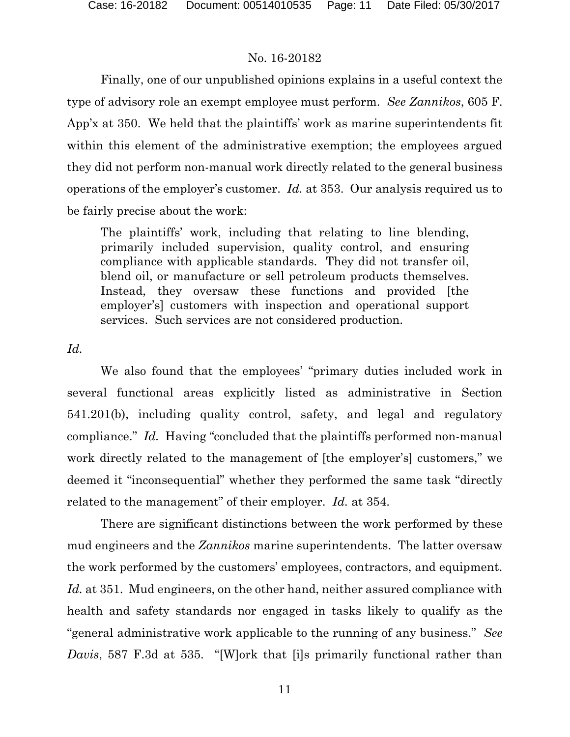Finally, one of our unpublished opinions explains in a useful context the type of advisory role an exempt employee must perform. *See Zannikos*, 605 F. App'x at 350. We held that the plaintiffs' work as marine superintendents fit within this element of the administrative exemption; the employees argued they did not perform non-manual work directly related to the general business operations of the employer's customer. *Id.* at 353. Our analysis required us to be fairly precise about the work:

The plaintiffs' work, including that relating to line blending, primarily included supervision, quality control, and ensuring compliance with applicable standards. They did not transfer oil, blend oil, or manufacture or sell petroleum products themselves. Instead, they oversaw these functions and provided [the employer's] customers with inspection and operational support services. Such services are not considered production.

*Id.*

We also found that the employees' "primary duties included work in several functional areas explicitly listed as administrative in Section 541.201(b), including quality control, safety, and legal and regulatory compliance." *Id.* Having "concluded that the plaintiffs performed non-manual work directly related to the management of [the employer's] customers," we deemed it "inconsequential" whether they performed the same task "directly related to the management" of their employer. *Id.* at 354.

There are significant distinctions between the work performed by these mud engineers and the *Zannikos* marine superintendents. The latter oversaw the work performed by the customers' employees, contractors, and equipment. *Id.* at 351. Mud engineers, on the other hand, neither assured compliance with health and safety standards nor engaged in tasks likely to qualify as the "general administrative work applicable to the running of any business." *See Davis*, 587 F.3d at 535. "[W]ork that [i]s primarily functional rather than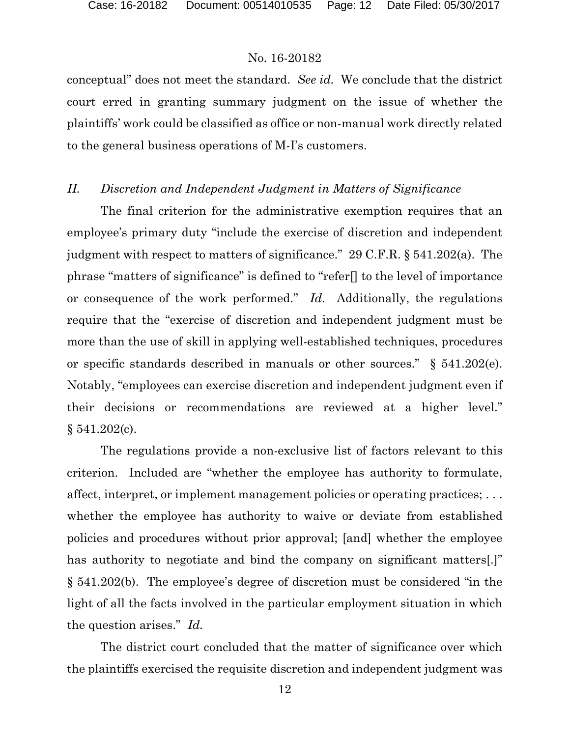conceptual" does not meet the standard. *See id.* We conclude that the district court erred in granting summary judgment on the issue of whether the plaintiffs' work could be classified as office or non-manual work directly related to the general business operations of M-I's customers.

# *II. Discretion and Independent Judgment in Matters of Significance*

The final criterion for the administrative exemption requires that an employee's primary duty "include the exercise of discretion and independent judgment with respect to matters of significance." 29 C.F.R. § 541.202(a). The phrase "matters of significance" is defined to "refer[] to the level of importance or consequence of the work performed." *Id*. Additionally, the regulations require that the "exercise of discretion and independent judgment must be more than the use of skill in applying well-established techniques, procedures or specific standards described in manuals or other sources." § 541.202(e). Notably, "employees can exercise discretion and independent judgment even if their decisions or recommendations are reviewed at a higher level." § 541.202(c).

The regulations provide a non-exclusive list of factors relevant to this criterion. Included are "whether the employee has authority to formulate, affect, interpret, or implement management policies or operating practices; . . . whether the employee has authority to waive or deviate from established policies and procedures without prior approval; [and] whether the employee has authority to negotiate and bind the company on significant matters. § 541.202(b). The employee's degree of discretion must be considered "in the light of all the facts involved in the particular employment situation in which the question arises." *Id.*

The district court concluded that the matter of significance over which the plaintiffs exercised the requisite discretion and independent judgment was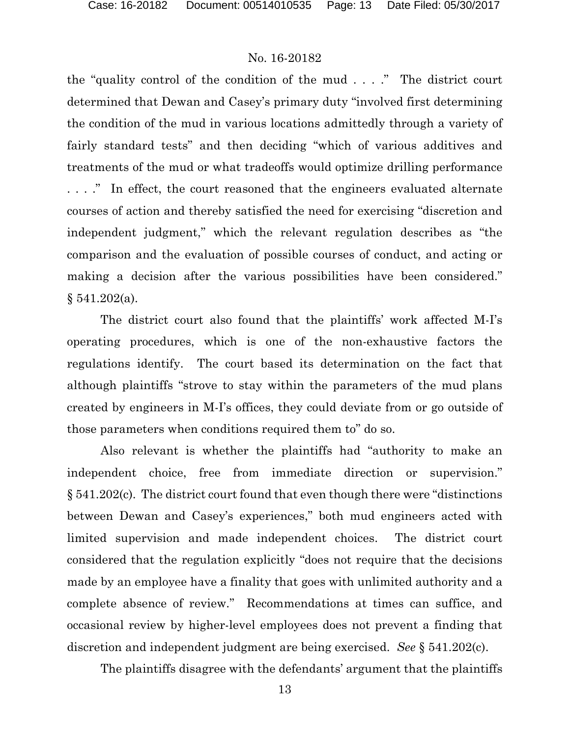the "quality control of the condition of the mud . . . ." The district court determined that Dewan and Casey's primary duty "involved first determining the condition of the mud in various locations admittedly through a variety of fairly standard tests" and then deciding "which of various additives and treatments of the mud or what tradeoffs would optimize drilling performance . . . ." In effect, the court reasoned that the engineers evaluated alternate courses of action and thereby satisfied the need for exercising "discretion and independent judgment," which the relevant regulation describes as "the comparison and the evaluation of possible courses of conduct, and acting or making a decision after the various possibilities have been considered."  $§ 541.202(a).$ 

The district court also found that the plaintiffs' work affected M-I's operating procedures, which is one of the non-exhaustive factors the regulations identify. The court based its determination on the fact that although plaintiffs "strove to stay within the parameters of the mud plans created by engineers in M-I's offices, they could deviate from or go outside of those parameters when conditions required them to" do so.

Also relevant is whether the plaintiffs had "authority to make an independent choice, free from immediate direction or supervision." § 541.202(c). The district court found that even though there were "distinctions between Dewan and Casey's experiences," both mud engineers acted with limited supervision and made independent choices. The district court considered that the regulation explicitly "does not require that the decisions made by an employee have a finality that goes with unlimited authority and a complete absence of review." Recommendations at times can suffice, and occasional review by higher-level employees does not prevent a finding that discretion and independent judgment are being exercised. *See* § 541.202(c).

The plaintiffs disagree with the defendants' argument that the plaintiffs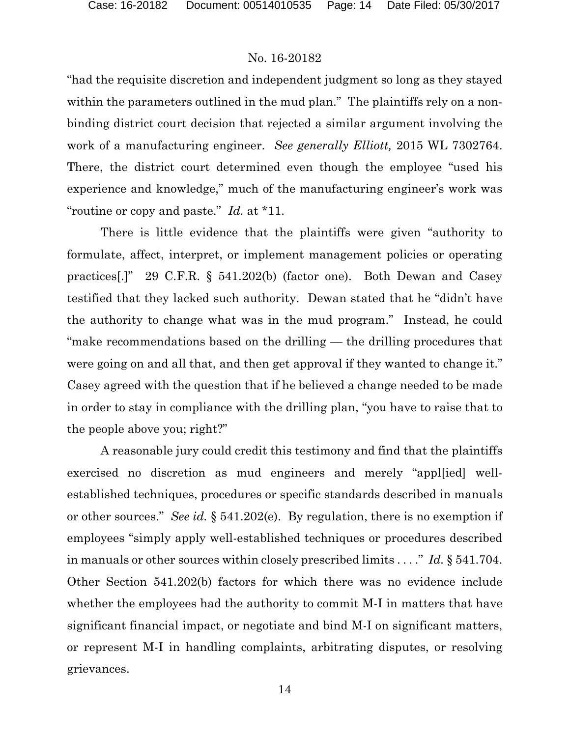"had the requisite discretion and independent judgment so long as they stayed within the parameters outlined in the mud plan." The plaintiffs rely on a nonbinding district court decision that rejected a similar argument involving the work of a manufacturing engineer. *See generally Elliott,* 2015 WL 7302764. There, the district court determined even though the employee "used his experience and knowledge," much of the manufacturing engineer's work was "routine or copy and paste." *Id.* at \*11.

There is little evidence that the plaintiffs were given "authority to formulate, affect, interpret, or implement management policies or operating practices[.]" 29 C.F.R. § 541.202(b) (factor one). Both Dewan and Casey testified that they lacked such authority. Dewan stated that he "didn't have the authority to change what was in the mud program." Instead, he could "make recommendations based on the drilling — the drilling procedures that were going on and all that, and then get approval if they wanted to change it." Casey agreed with the question that if he believed a change needed to be made in order to stay in compliance with the drilling plan, "you have to raise that to the people above you; right?"

A reasonable jury could credit this testimony and find that the plaintiffs exercised no discretion as mud engineers and merely "appl[ied] wellestablished techniques, procedures or specific standards described in manuals or other sources." *See id.* § 541.202(e). By regulation, there is no exemption if employees "simply apply well-established techniques or procedures described in manuals or other sources within closely prescribed limits . . . ." *Id.* § 541.704. Other Section 541.202(b) factors for which there was no evidence include whether the employees had the authority to commit M-I in matters that have significant financial impact, or negotiate and bind M-I on significant matters, or represent M-I in handling complaints, arbitrating disputes, or resolving grievances.

14